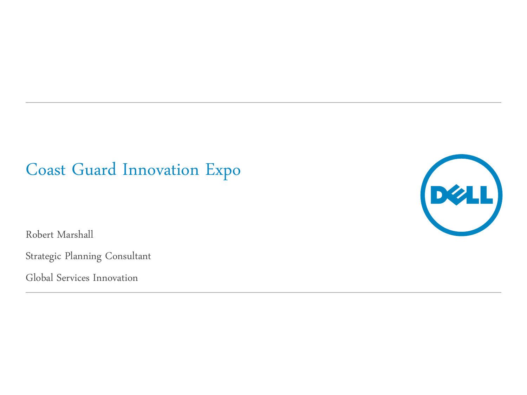## Coast Guard Innovation Expo

Robert Marshall

Strategic Planning Consultant

Global Services Innovation

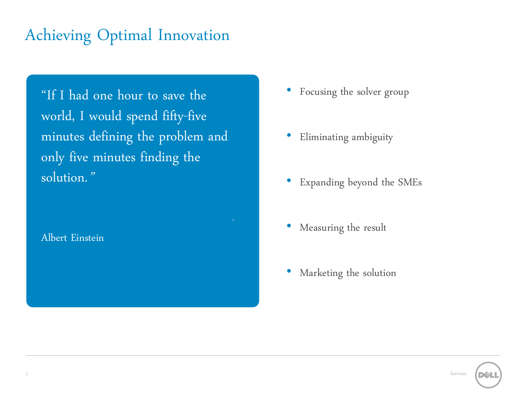## Achieving Optimal Innovation

"If I had one hour to save the world, I would spend fifty-five minutes defining the problem and only five minutes finding the solution."

Albert Einstein

- Focusing the solver group
- Eliminating ambiguity
- Expanding beyond the SMEs
- Measuring the result
- Marketing the solution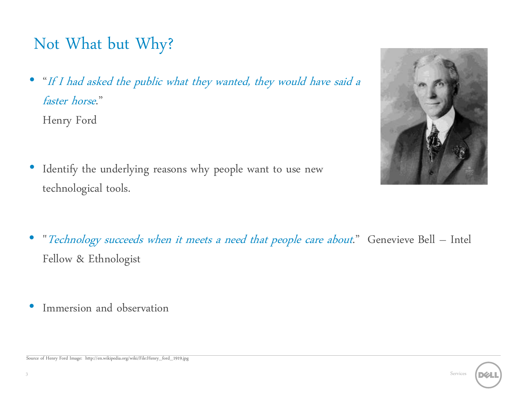# Not What but Why?

• "If I had asked the public what they wanted, they would have said a faster horse."

Henry Ford

• Identify the underlying reasons why people want to use new technological tools.



- "Technology succeeds when it meets a need that people care about." Genevieve Bell Intel Fellow & Ethnologist
- Immersion and observation

Source of Henry Ford Image: http://en.wikipedia.org/wiki/File:Henry\_ford\_1919.jpg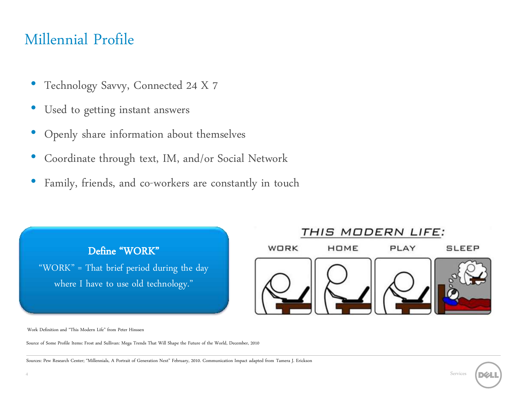#### Millennial Profile

- Technology Savvy, Connected 24 X 7
- Used to getting instant answers
- Openly share information about themselves
- Coordinate through text, IM, and/or Social Network
- Family, friends, and co-workers are constantly in touch



Work Definition and "This Modern Life" from Peter Hinssen

Source of Some Profile Items: Frost and Sullivan: Mega Trends That Will Shape the Future of the World, December, 2010

Sources: Pew Research Center; "Millennials, A Portrait of Generation Next" February, 2010. Communication Impact adapted from Tamera J. Erickson